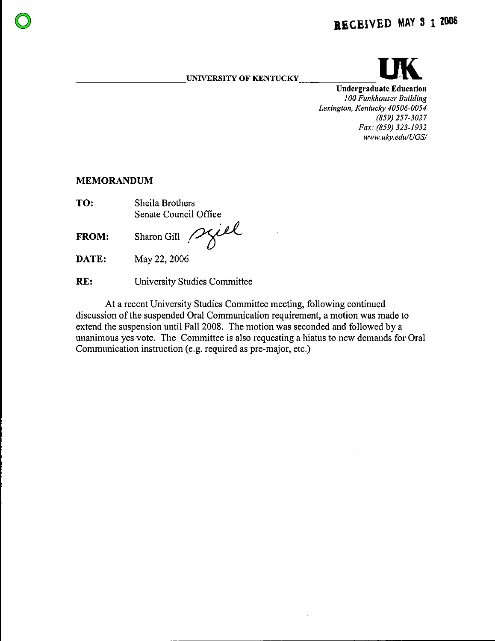**UNIVERSITY OF KENTUCKY** 



**Undergraduate Education** 100 Funkhouser Building Lexington, Kentucky 40506-0054 (859) 257-3027 Fax: (859) 323-1932 www.uky.edu/UGS/

### **MEMORANDUM**

TO: Sheila Brothers Senate Council Office

FROM:

Sharon Gill spiel

DATE: May 22, 2006

RE: University Studies Committee

At a recent University Studies Committee meeting, following continued discussion of the suspended Oral Communication requirement, a motion was made to extend the suspension until Fall 2008. The motion was seconded and followed by a unanimous yes vote. The Committee is also requesting a hiatus to new demands for Oral Communication instruction (e.g. required as pre-major, etc.)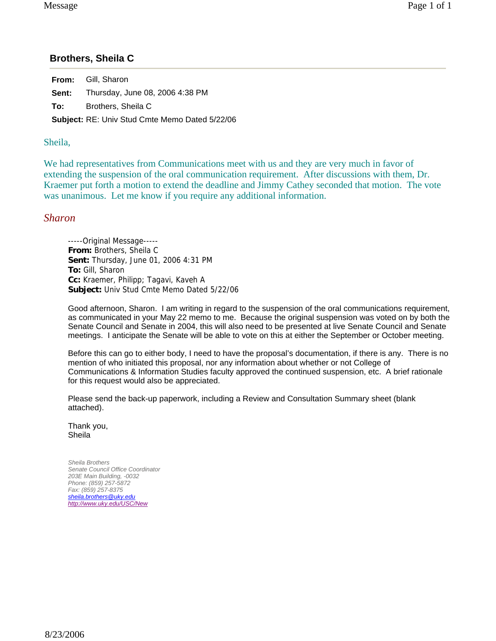## **Brothers, Sheila C**

**From:** Gill, Sharon **Sent:** Thursday, June 08, 2006 4:38 PM **To:** Brothers, Sheila C **Subject:** RE: Univ Stud Cmte Memo Dated 5/22/06

#### Sheila,

We had representatives from Communications meet with us and they are very much in favor of extending the suspension of the oral communication requirement. After discussions with them, Dr. Kraemer put forth a motion to extend the deadline and Jimmy Cathey seconded that motion. The vote was unanimous. Let me know if you require any additional information.

#### *Sharon*

-----Original Message----- **From:** Brothers, Sheila C **Sent:** Thursday, June 01, 2006 4:31 PM **To:** Gill, Sharon **Cc:** Kraemer, Philipp; Tagavi, Kaveh A **Subject:** Univ Stud Cmte Memo Dated 5/22/06

Good afternoon, Sharon. I am writing in regard to the suspension of the oral communications requirement, as communicated in your May 22 memo to me. Because the original suspension was voted on by both the Senate Council and Senate in 2004, this will also need to be presented at live Senate Council and Senate meetings. I anticipate the Senate will be able to vote on this at either the September or October meeting.

Before this can go to either body, I need to have the proposal's documentation, if there is any. There is no mention of who initiated this proposal, nor any information about whether or not College of Communications & Information Studies faculty approved the continued suspension, etc. A brief rationale for this request would also be appreciated.

Please send the back-up paperwork, including a Review and Consultation Summary sheet (blank attached).

Thank you, Sheila

*Sheila Brothers Senate Council Office Coordinator 203E Main Building, -0032 Phone: (859) 257-5872 Fax: (859) 257-8375 sheila.brothers@uky.edu http://www.uky.edu/USC/New*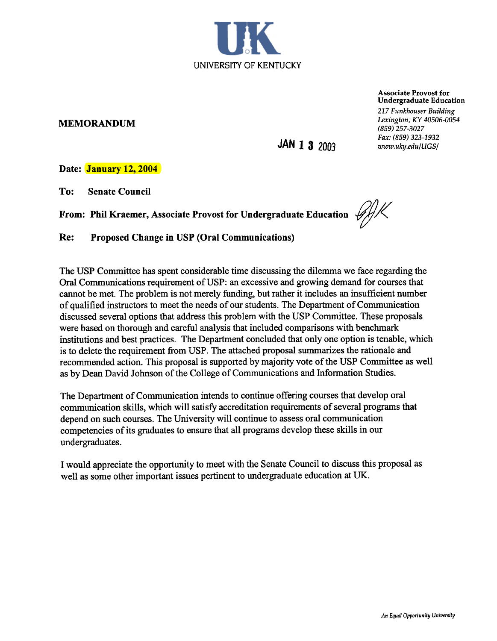

MEMORANDUM

Associate Provost for Undergraduate Education 217 Funkhouser Building Lexington, KY 40506-0054 (859) 257-3027 Fax: (859) 323-1932 www.uky.edu/UGS/

JAN 1 3 2003

Date: January 12, 2004

To: Senate Council

From: Phil Kraemer, Associate Provost for Undergraduate Education  $\mathscr{G}/\mathscr{K}$ 

Re: Proposed Change in USP (Oral Communications)

The USP Committee has spent considerable time discussing the dilemma we face regarding the Oral Communications requirement of USP: an excessive and growing demand for courses that cannot be met. The problem is not merely funding, but rather it includes an insufficient number of qualified instructors to meet the needs of our students. The Department of Communication discussed several options that address this problem with the USP Committee. These proposals were based on thorough and careful analysis that included comparisons with benchmark institutions and best practices. The Department concluded that only one option is tenable, which is to delete the requirement from USP. The attached proposal summarizes the rationale and recommended action. This proposal is supported by majority vote of the USP Committee as well as by Dean David Johnson of the College of Communications and Information Studies.

The Department of Communication intends to continue offering courses that develop oral communication skills, which will satisfy accreditation requirements of several programs that depend on such courses. The University will continue to assess oral communication competencies of its graduates to ensure that all programs develop these skills in our undergraduates.

I would appreciate the opportunity to meet with the Senate Council to discuss this proposal as well as some other important issues pertinent to undergraduate education at UK.